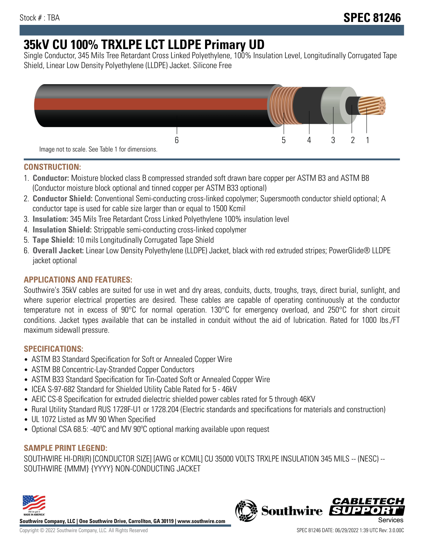# **35kV CU 100% TRXLPE LCT LLDPE Primary UD**

Single Conductor, 345 Mils Tree Retardant Cross Linked Polyethylene, 100% Insulation Level, Longitudinally Corrugated Tape Shield, Linear Low Density Polyethylene (LLDPE) Jacket. Silicone Free



## **CONSTRUCTION:**

- 1. **Conductor:** Moisture blocked class B compressed stranded soft drawn bare copper per ASTM B3 and ASTM B8 (Conductor moisture block optional and tinned copper per ASTM B33 optional)
- 2. **Conductor Shield:** Conventional Semi-conducting cross-linked copolymer; Supersmooth conductor shield optional; A conductor tape is used for cable size larger than or equal to 1500 Kcmil
- 3. **Insulation:** 345 Mils Tree Retardant Cross Linked Polyethylene 100% insulation level
- 4. **Insulation Shield:** Strippable semi-conducting cross-linked copolymer
- 5. **Tape Shield:** 10 mils Longitudinally Corrugated Tape Shield
- 6. **Overall Jacket:** Linear Low Density Polyethylene (LLDPE) Jacket, black with red extruded stripes; PowerGlide® LLDPE jacket optional

# **APPLICATIONS AND FEATURES:**

Southwire's 35kV cables are suited for use in wet and dry areas, conduits, ducts, troughs, trays, direct burial, sunlight, and where superior electrical properties are desired. These cables are capable of operating continuously at the conductor temperature not in excess of 90°C for normal operation. 130°C for emergency overload, and 250°C for short circuit conditions. Jacket types available that can be installed in conduit without the aid of lubrication. Rated for 1000 lbs./FT maximum sidewall pressure.

## **SPECIFICATIONS:**

- ASTM B3 Standard Specification for Soft or Annealed Copper Wire
- ASTM B8 Concentric-Lay-Stranded Copper Conductors
- ASTM B33 Standard Specification for Tin-Coated Soft or Annealed Copper Wire
- ICEA S-97-682 Standard for Shielded Utility Cable Rated for 5 46kV
- AEIC CS-8 Specification for extruded dielectric shielded power cables rated for 5 through 46KV
- Rural Utility Standard RUS 1728F-U1 or 1728.204 (Electric standards and specifications for materials and construction)
- UL 1072 Listed as MV 90 When Specified
- Optional CSA 68.5: -40°C and MV 90°C optional marking available upon request

# **SAMPLE PRINT LEGEND:**

SOUTHWIRE HI-DRI(R) [CONDUCTOR SIZE] [AWG or KCMIL] CU 35000 VOLTS TRXLPE INSULATION 345 MILS -- (NESC) -- SOUTHWIRE {MMM} {YYYY} NON-CONDUCTING JACKET



**Southwire Company, LLC | One Southwire Drive, Carrollton, GA 30119 | www.southwire.com**